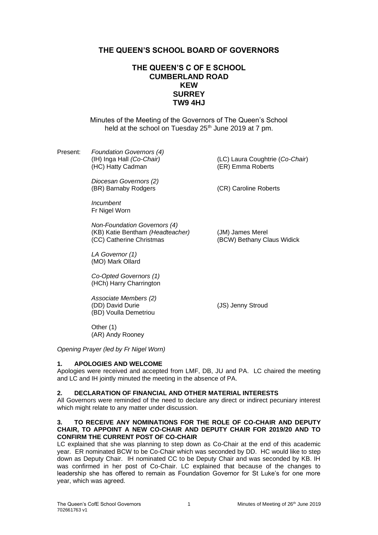# **THE QUEEN'S SCHOOL BOARD OF GOVERNORS**

## **THE QUEEN'S C OF E SCHOOL CUMBERLAND ROAD KEW SURREY TW9 4HJ**

Minutes of the Meeting of the Governors of The Queen's School held at the school on Tuesday 25<sup>th</sup> June 2019 at 7 pm.

Present: *Foundation Governors (4)* (IH) Inga Hall *(Co-Chair)* (LC) Laura Coughtrie (*Co-Chair*) (HC) Hatty Cadman

> *Diocesan Governors (2)* (BR) Barnaby Rodgers (CR) Caroline Roberts

*Incumbent* Fr Nigel Worn

*Non-Foundation Governors (4)* (KB) Katie Bentham *(Headteacher)* (JM) James Merel (CC) Catherine Christmas (BCW) Bethany Claus Widick

*LA Governor (1)* (MO) Mark Ollard

*Co-Opted Governors (1)* (HCh) Harry Charrington

*Associate Members (2)* (DD) David Durie (JS) Jenny Stroud (BD) Voulla Demetriou

Other (1) (AR) Andy Rooney

*Opening Prayer (led by Fr Nigel Worn)*

### **1. APOLOGIES AND WELCOME**

Apologies were received and accepted from LMF, DB, JU and PA. LC chaired the meeting and LC and IH jointly minuted the meeting in the absence of PA.

#### **2. DECLARATION OF FINANCIAL AND OTHER MATERIAL INTERESTS**

All Governors were reminded of the need to declare any direct or indirect pecuniary interest which might relate to any matter under discussion.

#### **3. TO RECEIVE ANY NOMINATIONS FOR THE ROLE OF CO-CHAIR AND DEPUTY CHAIR, TO APPOINT A NEW CO-CHAIR AND DEPUTY CHAIR FOR 2019/20 AND TO CONFIRM THE CURRENT POST OF CO-CHAIR**

LC explained that she was planning to step down as Co-Chair at the end of this academic year. ER nominated BCW to be Co-Chair which was seconded by DD. HC would like to step down as Deputy Chair. IH nominated CC to be Deputy Chair and was seconded by KB. IH was confirmed in her post of Co-Chair. LC explained that because of the changes to leadership she has offered to remain as Foundation Governor for St Luke's for one more year, which was agreed.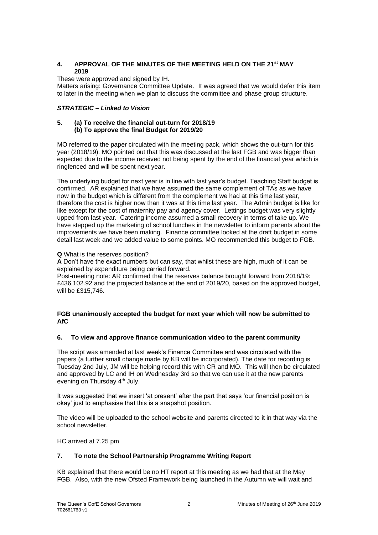## **4. APPROVAL OF THE MINUTES OF THE MEETING HELD ON THE 21st MAY 2019**

These were approved and signed by IH.

Matters arising: Governance Committee Update. It was agreed that we would defer this item to later in the meeting when we plan to discuss the committee and phase group structure.

## *STRATEGIC – Linked to Vision*

#### **5. (a) To receive the financial out-turn for 2018/19 (b) To approve the final Budget for 2019/20**

MO referred to the paper circulated with the meeting pack, which shows the out-turn for this year (2018/19). MO pointed out that this was discussed at the last FGB and was bigger than expected due to the income received not being spent by the end of the financial year which is ringfenced and will be spent next year.

The underlying budget for next year is in line with last year's budget. Teaching Staff budget is confirmed. AR explained that we have assumed the same complement of TAs as we have now in the budget which is different from the complement we had at this time last year, therefore the cost is higher now than it was at this time last year. The Admin budget is like for like except for the cost of maternity pay and agency cover. Lettings budget was very slightly upped from last year. Catering income assumed a small recovery in terms of take up. We have stepped up the marketing of school lunches in the newsletter to inform parents about the improvements we have been making. Finance committee looked at the draft budget in some detail last week and we added value to some points. MO recommended this budget to FGB.

### **Q** What is the reserves position?

**A** Don't have the exact numbers but can say, that whilst these are high, much of it can be explained by expenditure being carried forward.

Post-meeting note: AR confirmed that the reserves balance brought forward from 2018/19: £436,102.92 and the projected balance at the end of 2019/20, based on the approved budget, will be £315,746.

### **FGB unanimously accepted the budget for next year which will now be submitted to AfC**

### **6. To view and approve finance communication video to the parent community**

The script was amended at last week's Finance Committee and was circulated with the papers (a further small change made by KB will be incorporated). The date for recording is Tuesday 2nd July, JM will be helping record this with CR and MO. This will then be circulated and approved by LC and IH on Wednesday 3rd so that we can use it at the new parents evening on Thursday 4<sup>th</sup> July.

It was suggested that we insert 'at present' after the part that says 'our financial position is okay' just to emphasise that this is a snapshot position.

The video will be uploaded to the school website and parents directed to it in that way via the school newsletter.

HC arrived at 7.25 pm

## **7. To note the School Partnership Programme Writing Report**

KB explained that there would be no HT report at this meeting as we had that at the May FGB. Also, with the new Ofsted Framework being launched in the Autumn we will wait and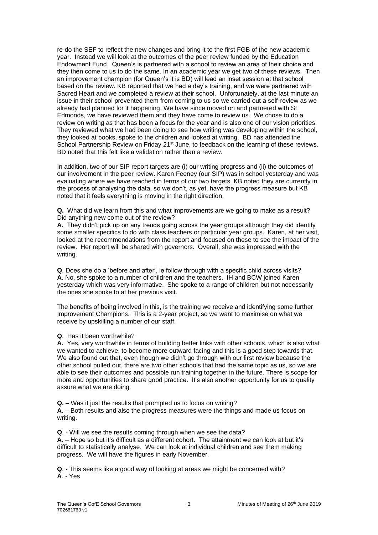re-do the SEF to reflect the new changes and bring it to the first FGB of the new academic year. Instead we will look at the outcomes of the peer review funded by the Education Endowment Fund. Queen's is partnered with a school to review an area of their choice and they then come to us to do the same. In an academic year we get two of these reviews. Then an improvement champion (for Queen's it is BD) will lead an inset session at that school based on the review. KB reported that we had a day's training, and we were partnered with Sacred Heart and we completed a review at their school. Unfortunately, at the last minute an issue in their school prevented them from coming to us so we carried out a self-review as we already had planned for it happening. We have since moved on and partnered with St Edmonds, we have reviewed them and they have come to review us. We chose to do a review on writing as that has been a focus for the year and is also one of our vision priorities. They reviewed what we had been doing to see how writing was developing within the school, they looked at books, spoke to the children and looked at writing. BD has attended the School Partnership Review on Friday 21<sup>st</sup> June, to feedback on the learning of these reviews. BD noted that this felt like a validation rather than a review.

In addition, two of our SIP report targets are (i) our writing progress and (ii) the outcomes of our involvement in the peer review. Karen Feeney (our SIP) was in school yesterday and was evaluating where we have reached in terms of our two targets. KB noted they are currently in the process of analysing the data, so we don't, as yet, have the progress measure but KB noted that it feels everything is moving in the right direction.

**Q.** What did we learn from this and what improvements are we going to make as a result? Did anything new come out of the review?

**A.** They didn't pick up on any trends going across the year groups although they did identify some smaller specifics to do with class teachers or particular year groups. Karen, at her visit, looked at the recommendations from the report and focused on these to see the impact of the review. Her report will be shared with governors. Overall, she was impressed with the writing.

**Q**. Does she do a 'before and after', ie follow through with a specific child across visits? **A**. No, she spoke to a number of children and the teachers. IH and BCW joined Karen yesterday which was very informative. She spoke to a range of children but not necessarily the ones she spoke to at her previous visit.

The benefits of being involved in this, is the training we receive and identifying some further Improvement Champions. This is a 2-year project, so we want to maximise on what we receive by upskilling a number of our staff.

**Q**. Has it been worthwhile?

**A.** Yes, very worthwhile in terms of building better links with other schools, which is also what we wanted to achieve, to become more outward facing and this is a good step towards that. We also found out that, even though we didn't go through with our first review because the other school pulled out, there are two other schools that had the same topic as us, so we are able to see their outcomes and possible run training together in the future. There is scope for more and opportunities to share good practice. It's also another opportunity for us to quality assure what we are doing.

**Q.** – Was it just the results that prompted us to focus on writing?

**A**. – Both results and also the progress measures were the things and made us focus on writing.

**Q**. - Will we see the results coming through when we see the data?

**A**. – Hope so but it's difficult as a different cohort. The attainment we can look at but it's difficult to statistically analyse. We can look at individual children and see them making progress. We will have the figures in early November.

**Q**. - This seems like a good way of looking at areas we might be concerned with? **A**. - Yes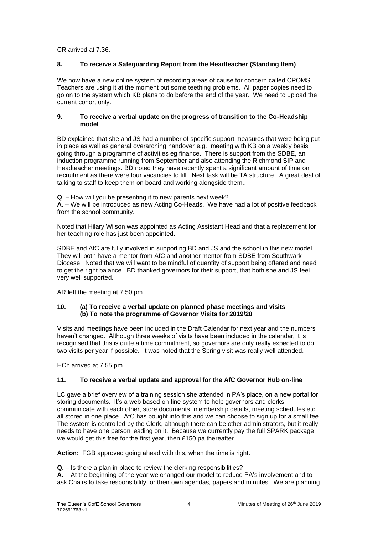CR arrived at 7.36.

## **8. To receive a Safeguarding Report from the Headteacher (Standing Item)**

We now have a new online system of recording areas of cause for concern called CPOMS. Teachers are using it at the moment but some teething problems. All paper copies need to go on to the system which KB plans to do before the end of the year. We need to upload the current cohort only.

### **9. To receive a verbal update on the progress of transition to the Co-Headship model**

BD explained that she and JS had a number of specific support measures that were being put in place as well as general overarching handover e.g. meeting with KB on a weekly basis going through a programme of activities eg finance. There is support from the SDBE, an induction programme running from September and also attending the Richmond SIP and Headteacher meetings. BD noted they have recently spent a significant amount of time on recruitment as there were four vacancies to fill. Next task will be TA structure. A great deal of talking to staff to keep them on board and working alongside them..

**Q**. – How will you be presenting it to new parents next week?

**A**. – We will be introduced as new Acting Co-Heads. We have had a lot of positive feedback from the school community.

Noted that Hilary Wilson was appointed as Acting Assistant Head and that a replacement for her teaching role has just been appointed.

SDBE and AfC are fully involved in supporting BD and JS and the school in this new model. They will both have a mentor from AfC and another mentor from SDBE from Southwark Diocese. Noted that we will want to be mindful of quantity of support being offered and need to get the right balance. BD thanked governors for their support, that both she and JS feel very well supported.

AR left the meeting at 7.50 pm

### **10. (a) To receive a verbal update on planned phase meetings and visits (b) To note the programme of Governor Visits for 2019/20**

Visits and meetings have been included in the Draft Calendar for next year and the numbers haven't changed. Although three weeks of visits have been included in the calendar, it is recognised that this is quite a time commitment, so governors are only really expected to do two visits per year if possible. It was noted that the Spring visit was really well attended.

HCh arrived at 7.55 pm

### **11. To receive a verbal update and approval for the AfC Governor Hub on-line**

LC gave a brief overview of a training session she attended in PA's place, on a new portal for storing documents. It's a web based on-line system to help governors and clerks communicate with each other, store documents, membership details, meeting schedules etc all stored in one place. AfC has bought into this and we can choose to sign up for a small fee. The system is controlled by the Clerk, although there can be other administrators, but it really needs to have one person leading on it. Because we currently pay the full SPARK package we would get this free for the first year, then £150 pa thereafter.

**Action:** FGB approved going ahead with this, when the time is right.

**Q.** – Is there a plan in place to review the clerking responsibilities?

**A.** - At the beginning of the year we changed our model to reduce PA's involvement and to ask Chairs to take responsibility for their own agendas, papers and minutes. We are planning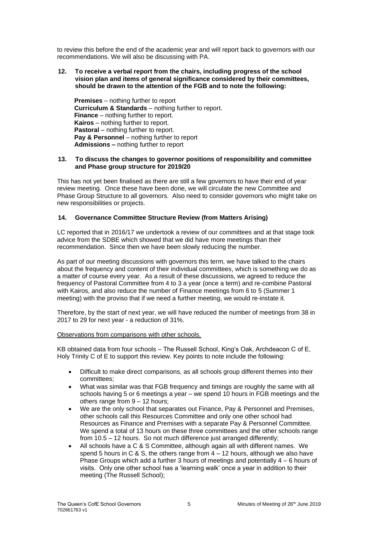to review this before the end of the academic year and will report back to governors with our recommendations. We will also be discussing with PA.

#### **12. To receive a verbal report from the chairs, including progress of the school vision plan and items of general significance considered by their committees, should be drawn to the attention of the FGB and to note the following:**

**Premises** – nothing further to report **Curriculum & Standards** – nothing further to report. **Finance** – nothing further to report. **Kairos** – nothing further to report. **Pastoral** – nothing further to report. **Pay & Personnel** – nothing further to report **Admissions –** nothing further to report

#### **13. To discuss the changes to governor positions of responsibility and committee and Phase group structure for 2019/20**

This has not yet been finalised as there are still a few governors to have their end of year review meeting. Once these have been done, we will circulate the new Committee and Phase Group Structure to all governors. Also need to consider governors who might take on new responsibilities or projects.

### **14. Governance Committee Structure Review (from Matters Arising)**

LC reported that in 2016/17 we undertook a review of our committees and at that stage took advice from the SDBE which showed that we did have more meetings than their recommendation. Since then we have been slowly reducing the number.

As part of our meeting discussions with governors this term, we have talked to the chairs about the frequency and content of their individual committees, which is something we do as a matter of course every year. As a result of these discussions, we agreed to reduce the frequency of Pastoral Committee from 4 to 3 a year (once a term) and re-combine Pastoral with Kairos, and also reduce the number of Finance meetings from 6 to 5 (Summer 1 meeting) with the proviso that if we need a further meeting, we would re-instate it.

Therefore, by the start of next year, we will have reduced the number of meetings from 38 in 2017 to 29 for next year - a reduction of 31%.

### Observations from comparisons with other schools.

KB obtained data from four schools – The Russell School, King's Oak, Archdeacon C of E, Holy Trinity C of E to support this review. Key points to note include the following:

- Difficult to make direct comparisons, as all schools group different themes into their committees;
- What was similar was that FGB frequency and timings are roughly the same with all schools having 5 or 6 meetings a year – we spend 10 hours in FGB meetings and the others range from 9 – 12 hours;
- We are the only school that separates out Finance, Pay & Personnel and Premises, other schools call this Resources Committee and only one other school had Resources as Finance and Premises with a separate Pay & Personnel Committee. We spend a total of 13 hours on these three committees and the other schools range from 10.5 – 12 hours. So not much difference just arranged differently;
- All schools have a C & S Committee, although again all with different names. We spend 5 hours in C & S, the others range from  $4 - 12$  hours, although we also have Phase Groups which add a further 3 hours of meetings and potentially 4 – 6 hours of visits. Only one other school has a 'learning walk' once a year in addition to their meeting (The Russell School);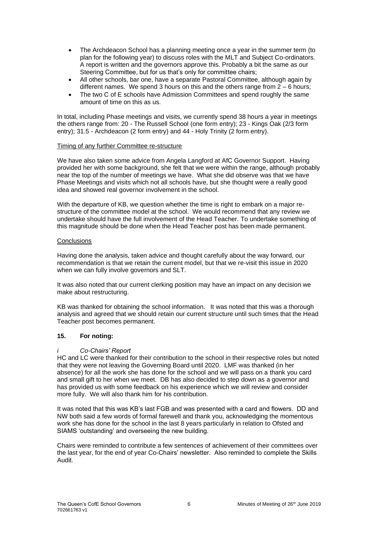- The Archdeacon School has a planning meeting once a year in the summer term (to plan for the following year) to discuss roles with the MLT and Subject Co-ordinators. A report is written and the governors approve this. Probably a bit the same as our Steering Committee, but for us that's only for committee chairs;
- All other schools, bar one, have a separate Pastoral Committee, although again by different names. We spend 3 hours on this and the others range from  $2 - 6$  hours;
- The two C of E schools have Admission Committees and spend roughly the same amount of time on this as us.

In total, including Phase meetings and visits, we currently spend 38 hours a year in meetings the others range from: 20 - The Russell School (one form entry); 23 - Kings Oak (2/3 form entry); 31.5 - Archdeacon (2 form entry) and 44 - Holy Trinity (2 form entry).

#### Timing of any further Committee re-structure

We have also taken some advice from Angela Langford at AfC Governor Support. Having provided her with some background, she felt that we were within the range, although probably near the top of the number of meetings we have. What she did observe was that we have Phase Meetings and visits which not all schools have, but she thought were a really good idea and showed real governor involvement in the school.

With the departure of KB, we question whether the time is right to embark on a major restructure of the committee model at the school. We would recommend that any review we undertake should have the full involvement of the Head Teacher. To undertake something of this magnitude should be done when the Head Teacher post has been made permanent.

#### **Conclusions**

Having done the analysis, taken advice and thought carefully about the way forward, our recommendation is that we retain the current model, but that we re-visit this issue in 2020 when we can fully involve governors and SLT.

It was also noted that our current clerking position may have an impact on any decision we make about restructuring.

KB was thanked for obtaining the school information. It was noted that this was a thorough analysis and agreed that we should retain our current structure until such times that the Head Teacher post becomes permanent.

### **15. For noting:**

### *i Co-Chairs' Report*

HC and LC were thanked for their contribution to the school in their respective roles but noted that they were not leaving the Governing Board until 2020. LMF was thanked (in her absence) for all the work she has done for the school and we will pass on a thank you card and small gift to her when we meet. DB has also decided to step down as a governor and has provided us with some feedback on his experience which we will review and consider more fully. We will also thank him for his contribution.

It was noted that this was KB's last FGB and was presented with a card and flowers. DD and NW both said a few words of formal farewell and thank you, acknowledging the momentous work she has done for the school in the last 8 years particularly in relation to Ofsted and SIAMS 'outstanding' and overseeing the new building.

Chairs were reminded to contribute a few sentences of achievement of their committees over the last year, for the end of year Co-Chairs' newsletter. Also reminded to complete the Skills Audit.